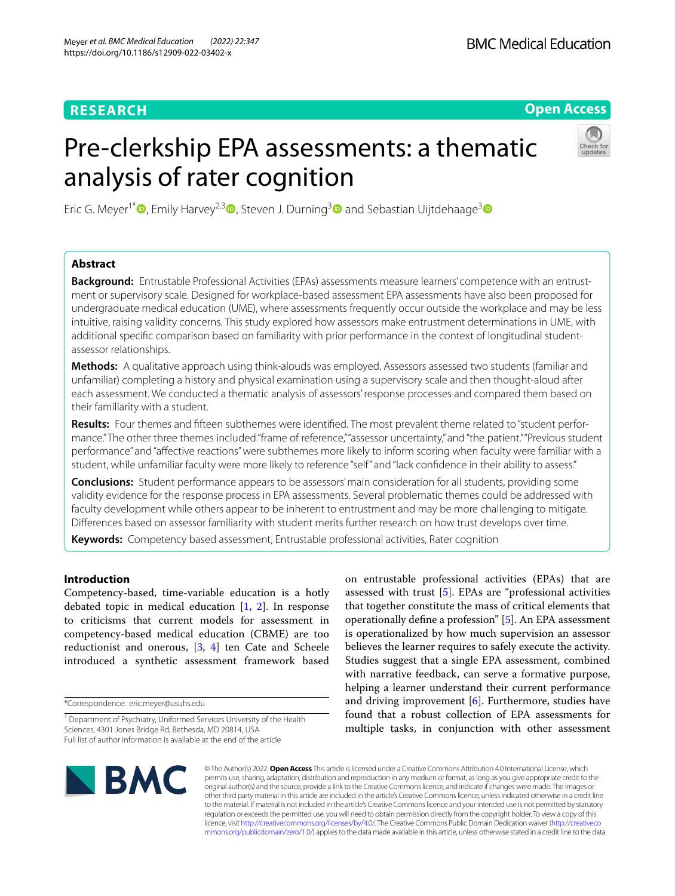# **RESEARCH**

# **Open Access**

# Pre-clerkship EPA assessments: a thematic analysis of rater cognition



Eric G. Meyer<sup>1\*</sup>  $\bullet$ [,](https://orcid.org/0000-0002-3685-6279) Emily Harvey<sup>2,3</sup>  $\bullet$ , Steven J. Durning<sup>3</sup>  $\bullet$  and Sebastian Uijtdehaage<sup>3</sup>  $\bullet$ 

# **Abstract**

**Background:** Entrustable Professional Activities (EPAs) assessments measure learners' competence with an entrustment or supervisory scale. Designed for workplace-based assessment EPA assessments have also been proposed for undergraduate medical education (UME), where assessments frequently occur outside the workplace and may be less intuitive, raising validity concerns. This study explored how assessors make entrustment determinations in UME, with additional specifc comparison based on familiarity with prior performance in the context of longitudinal studentassessor relationships.

**Methods:** A qualitative approach using think-alouds was employed. Assessors assessed two students (familiar and unfamiliar) completing a history and physical examination using a supervisory scale and then thought-aloud after each assessment. We conducted a thematic analysis of assessors' response processes and compared them based on their familiarity with a student.

**Results:** Four themes and ffteen subthemes were identifed. The most prevalent theme related to "student performance." The other three themes included "frame of reference," "assessor uncertainty," and "the patient." "Previous student performance" and "afective reactions" were subthemes more likely to inform scoring when faculty were familiar with a student, while unfamiliar faculty were more likely to reference "self" and "lack confdence in their ability to assess."

**Conclusions:** Student performance appears to be assessors' main consideration for all students, providing some validity evidence for the response process in EPA assessments. Several problematic themes could be addressed with faculty development while others appear to be inherent to entrustment and may be more challenging to mitigate. Diferences based on assessor familiarity with student merits further research on how trust develops over time.

**Keywords:** Competency based assessment, Entrustable professional activities, Rater cognition

# **Introduction**

Competency-based, time-variable education is a hotly debated topic in medical education [\[1](#page-9-0), [2](#page-9-1)]. In response to criticisms that current models for assessment in competency-based medical education (CBME) are too reductionist and onerous,  $[3, 4]$  $[3, 4]$  $[3, 4]$  ten Cate and Scheele introduced a synthetic assessment framework based

\*Correspondence: eric.meyer@usuhs.edu

on entrustable professional activities (EPAs) that are assessed with trust [[5\]](#page-9-4). EPAs are "professional activities that together constitute the mass of critical elements that operationally defne a profession" [[5\]](#page-9-4). An EPA assessment is operationalized by how much supervision an assessor believes the learner requires to safely execute the activity. Studies suggest that a single EPA assessment, combined with narrative feedback, can serve a formative purpose, helping a learner understand their current performance and driving improvement  $[6]$  $[6]$ . Furthermore, studies have found that a robust collection of EPA assessments for multiple tasks, in conjunction with other assessment



© The Author(s) 2022. **Open Access** This article is licensed under a Creative Commons Attribution 4.0 International License, which permits use, sharing, adaptation, distribution and reproduction in any medium or format, as long as you give appropriate credit to the original author(s) and the source, provide a link to the Creative Commons licence, and indicate if changes were made. The images or other third party material in this article are included in the article's Creative Commons licence, unless indicated otherwise in a credit line to the material. If material is not included in the article's Creative Commons licence and your intended use is not permitted by statutory regulation or exceeds the permitted use, you will need to obtain permission directly from the copyright holder. To view a copy of this licence, visit [http://creativecommons.org/licenses/by/4.0/.](http://creativecommons.org/licenses/by/4.0/) The Creative Commons Public Domain Dedication waiver ([http://creativeco](http://creativecommons.org/publicdomain/zero/1.0/) [mmons.org/publicdomain/zero/1.0/](http://creativecommons.org/publicdomain/zero/1.0/)) applies to the data made available in this article, unless otherwise stated in a credit line to the data.

<sup>&</sup>lt;sup>1</sup> Department of Psychiatry, Uniformed Services University of the Health Sciences, 4301 Jones Bridge Rd, Bethesda, MD 20814, USA Full list of author information is available at the end of the article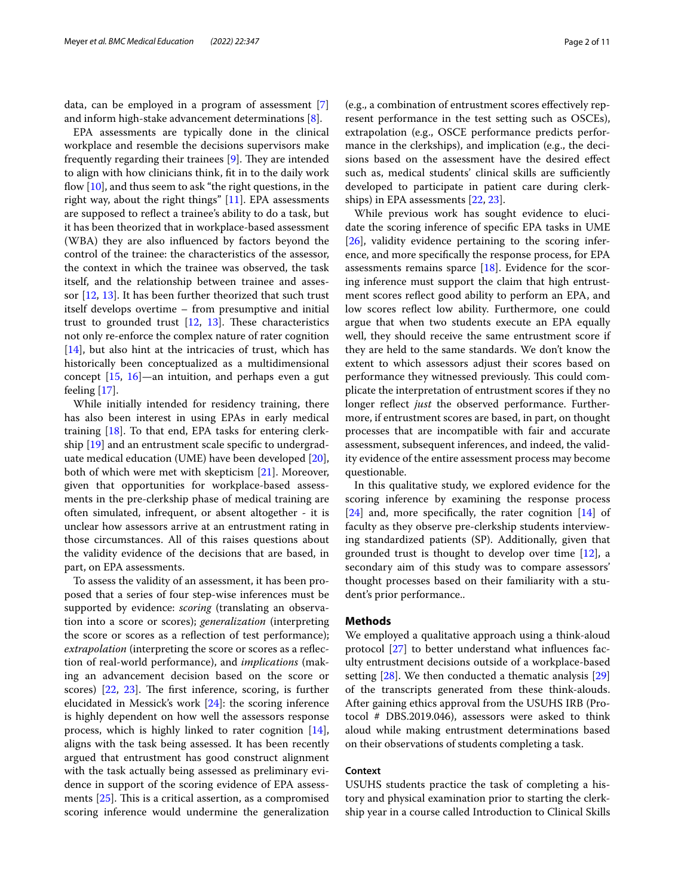data, can be employed in a program of assessment [\[7](#page-9-6)] and inform high-stake advancement determinations [\[8](#page-9-7)].

EPA assessments are typically done in the clinical workplace and resemble the decisions supervisors make frequently regarding their trainees [\[9](#page-9-8)]. They are intended to align with how clinicians think, ft in to the daily work flow  $[10]$  $[10]$ , and thus seem to ask "the right questions, in the right way, about the right things" [[11\]](#page-9-10). EPA assessments are supposed to refect a trainee's ability to do a task, but it has been theorized that in workplace-based assessment (WBA) they are also infuenced by factors beyond the control of the trainee: the characteristics of the assessor, the context in which the trainee was observed, the task itself, and the relationship between trainee and assessor [\[12](#page-9-11), [13](#page-9-12)]. It has been further theorized that such trust itself develops overtime – from presumptive and initial trust to grounded trust  $[12, 13]$  $[12, 13]$  $[12, 13]$ . These characteristics not only re-enforce the complex nature of rater cognition [[14\]](#page-10-0), but also hint at the intricacies of trust, which has historically been conceptualized as a multidimensional concept [\[15](#page-10-1), [16](#page-10-2)]—an intuition, and perhaps even a gut feeling [\[17](#page-10-3)].

While initially intended for residency training, there has also been interest in using EPAs in early medical training [[18\]](#page-10-4). To that end, EPA tasks for entering clerkship [\[19](#page-10-5)] and an entrustment scale specifc to undergraduate medical education (UME) have been developed [\[20](#page-10-6)], both of which were met with skepticism [\[21](#page-10-7)]. Moreover, given that opportunities for workplace-based assessments in the pre-clerkship phase of medical training are often simulated, infrequent, or absent altogether - it is unclear how assessors arrive at an entrustment rating in those circumstances. All of this raises questions about the validity evidence of the decisions that are based, in part, on EPA assessments.

To assess the validity of an assessment, it has been proposed that a series of four step-wise inferences must be supported by evidence: *scoring* (translating an observation into a score or scores); *generalization* (interpreting the score or scores as a refection of test performance); *extrapolation* (interpreting the score or scores as a refection of real-world performance), and *implications* (making an advancement decision based on the score or scores)  $[22, 23]$  $[22, 23]$  $[22, 23]$  $[22, 23]$  $[22, 23]$ . The first inference, scoring, is further elucidated in Messick's work [[24](#page-10-10)]: the scoring inference is highly dependent on how well the assessors response process, which is highly linked to rater cognition [\[14](#page-10-0)], aligns with the task being assessed. It has been recently argued that entrustment has good construct alignment with the task actually being assessed as preliminary evidence in support of the scoring evidence of EPA assessments  $[25]$  $[25]$ . This is a critical assertion, as a compromised scoring inference would undermine the generalization

(e.g., a combination of entrustment scores efectively represent performance in the test setting such as OSCEs), extrapolation (e.g., OSCE performance predicts performance in the clerkships), and implication (e.g., the decisions based on the assessment have the desired efect such as, medical students' clinical skills are sufficiently developed to participate in patient care during clerkships) in EPA assessments [\[22](#page-10-8), [23\]](#page-10-9).

While previous work has sought evidence to elucidate the scoring inference of specifc EPA tasks in UME [[26\]](#page-10-12), validity evidence pertaining to the scoring inference, and more specifcally the response process, for EPA assessments remains sparce  $[18]$ . Evidence for the scoring inference must support the claim that high entrustment scores refect good ability to perform an EPA, and low scores refect low ability. Furthermore, one could argue that when two students execute an EPA equally well, they should receive the same entrustment score if they are held to the same standards. We don't know the extent to which assessors adjust their scores based on performance they witnessed previously. This could complicate the interpretation of entrustment scores if they no longer reflect *just* the observed performance. Furthermore, if entrustment scores are based, in part, on thought processes that are incompatible with fair and accurate assessment, subsequent inferences, and indeed, the validity evidence of the entire assessment process may become questionable.

In this qualitative study, we explored evidence for the scoring inference by examining the response process [[24\]](#page-10-10) and, more specifcally, the rater cognition [[14\]](#page-10-0) of faculty as they observe pre-clerkship students interviewing standardized patients (SP). Additionally, given that grounded trust is thought to develop over time [[12\]](#page-9-11), a secondary aim of this study was to compare assessors' thought processes based on their familiarity with a student's prior performance..

# **Methods**

We employed a qualitative approach using a think-aloud protocol [\[27](#page-10-13)] to better understand what infuences faculty entrustment decisions outside of a workplace-based setting [[28](#page-10-14)]. We then conducted a thematic analysis [[29](#page-10-15)] of the transcripts generated from these think-alouds. After gaining ethics approval from the USUHS IRB (Protocol # DBS.2019.046), assessors were asked to think aloud while making entrustment determinations based on their observations of students completing a task.

# **Context**

USUHS students practice the task of completing a history and physical examination prior to starting the clerkship year in a course called Introduction to Clinical Skills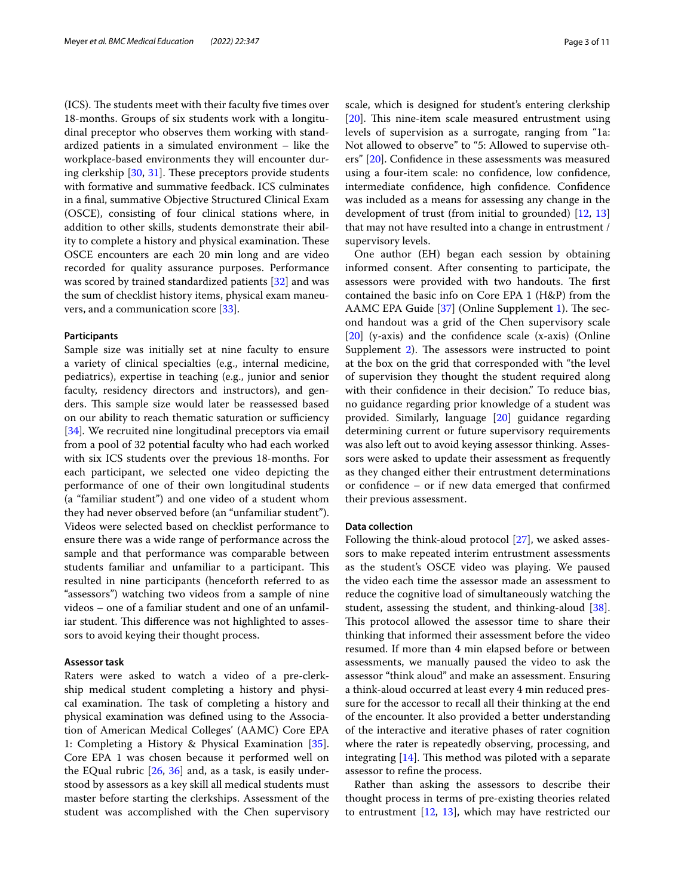(ICS). The students meet with their faculty five times over 18-months. Groups of six students work with a longitudinal preceptor who observes them working with standardized patients in a simulated environment – like the workplace-based environments they will encounter dur-ing clerkship [[30,](#page-10-16) [31](#page-10-17)]. These preceptors provide students with formative and summative feedback. ICS culminates in a fnal, summative Objective Structured Clinical Exam (OSCE), consisting of four clinical stations where, in addition to other skills, students demonstrate their ability to complete a history and physical examination. These OSCE encounters are each 20 min long and are video recorded for quality assurance purposes. Performance was scored by trained standardized patients [[32\]](#page-10-18) and was the sum of checklist history items, physical exam maneuvers, and a communication score [\[33](#page-10-19)].

## **Participants**

Sample size was initially set at nine faculty to ensure a variety of clinical specialties (e.g., internal medicine, pediatrics), expertise in teaching (e.g., junior and senior faculty, residency directors and instructors), and genders. This sample size would later be reassessed based on our ability to reach thematic saturation or sufficiency [[34\]](#page-10-20)*.* We recruited nine longitudinal preceptors via email from a pool of 32 potential faculty who had each worked with six ICS students over the previous 18-months. For each participant, we selected one video depicting the performance of one of their own longitudinal students (a "familiar student") and one video of a student whom they had never observed before (an "unfamiliar student"). Videos were selected based on checklist performance to ensure there was a wide range of performance across the sample and that performance was comparable between students familiar and unfamiliar to a participant. This resulted in nine participants (henceforth referred to as "assessors") watching two videos from a sample of nine videos – one of a familiar student and one of an unfamiliar student. This difference was not highlighted to assessors to avoid keying their thought process.

# **Assessor task**

Raters were asked to watch a video of a pre-clerkship medical student completing a history and physical examination. The task of completing a history and physical examination was defned using to the Association of American Medical Colleges' (AAMC) Core EPA 1: Completing a History & Physical Examination [\[35](#page-10-21)]. Core EPA 1 was chosen because it performed well on the EQual rubric [[26](#page-10-12), [36\]](#page-10-22) and, as a task, is easily understood by assessors as a key skill all medical students must master before starting the clerkships. Assessment of the student was accomplished with the Chen supervisory scale, which is designed for student's entering clerkship  $[20]$  $[20]$ . This nine-item scale measured entrustment using levels of supervision as a surrogate, ranging from "1a: Not allowed to observe" to "5: Allowed to supervise others" [\[20](#page-10-6)]. Confdence in these assessments was measured using a four-item scale: no confdence, low confdence, intermediate confidence, high confidence. Confidence was included as a means for assessing any change in the development of trust (from initial to grounded) [\[12,](#page-9-11) [13](#page-9-12)] that may not have resulted into a change in entrustment / supervisory levels.

One author (EH) began each session by obtaining informed consent. After consenting to participate, the assessors were provided with two handouts. The first contained the basic info on Core EPA 1 (H&P) from the AAMC EPA Guide  $[37]$  $[37]$  (Online Supplement [1\)](#page-9-13). The second handout was a grid of the Chen supervisory scale  $[20]$  $[20]$  (y-axis) and the confidence scale (x-axis) (Online Supplement  $2$ ). The assessors were instructed to point at the box on the grid that corresponded with "the level of supervision they thought the student required along with their confidence in their decision." To reduce bias, no guidance regarding prior knowledge of a student was provided. Similarly, language [\[20\]](#page-10-6) guidance regarding determining current or future supervisory requirements was also left out to avoid keying assessor thinking. Assessors were asked to update their assessment as frequently as they changed either their entrustment determinations or confdence – or if new data emerged that confrmed their previous assessment.

# **Data collection**

Following the think-aloud protocol [[27](#page-10-13)], we asked assessors to make repeated interim entrustment assessments as the student's OSCE video was playing. We paused the video each time the assessor made an assessment to reduce the cognitive load of simultaneously watching the student, assessing the student, and thinking-aloud  $[38]$  $[38]$ . This protocol allowed the assessor time to share their thinking that informed their assessment before the video resumed. If more than 4 min elapsed before or between assessments, we manually paused the video to ask the assessor "think aloud" and make an assessment. Ensuring a think-aloud occurred at least every 4 min reduced pressure for the accessor to recall all their thinking at the end of the encounter. It also provided a better understanding of the interactive and iterative phases of rater cognition where the rater is repeatedly observing, processing, and integrating  $[14]$  $[14]$ . This method was piloted with a separate assessor to refne the process.

Rather than asking the assessors to describe their thought process in terms of pre-existing theories related to entrustment  $[12, 13]$  $[12, 13]$  $[12, 13]$  $[12, 13]$ , which may have restricted our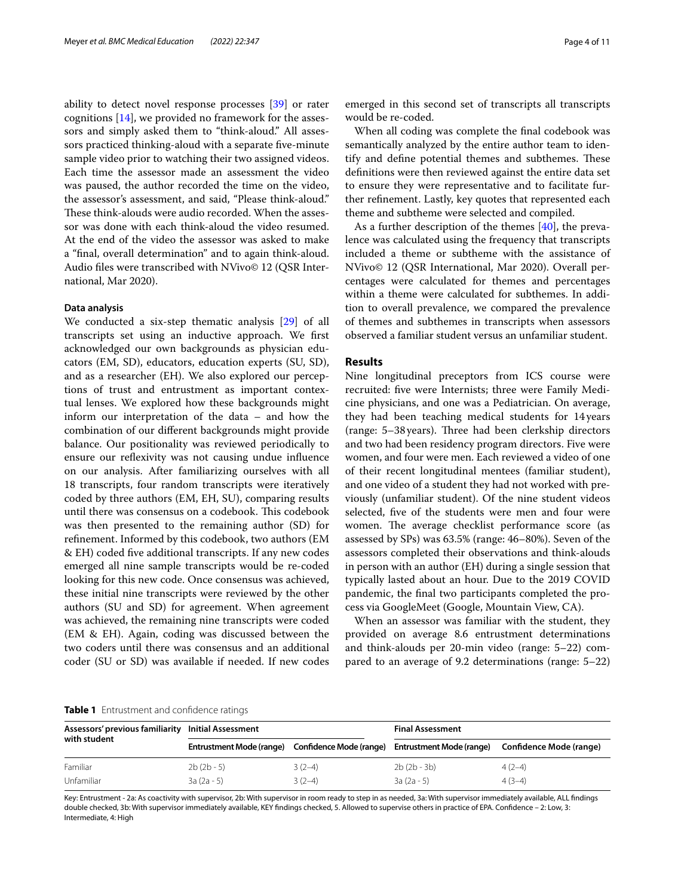ability to detect novel response processes [[39\]](#page-10-25) or rater cognitions [\[14\]](#page-10-0), we provided no framework for the assessors and simply asked them to "think-aloud." All assessors practiced thinking-aloud with a separate fve-minute sample video prior to watching their two assigned videos. Each time the assessor made an assessment the video was paused, the author recorded the time on the video, the assessor's assessment, and said, "Please think-aloud." These think-alouds were audio recorded. When the assessor was done with each think-aloud the video resumed. At the end of the video the assessor was asked to make a "fnal, overall determination" and to again think-aloud. Audio fles were transcribed with NVivo© 12 (QSR International, Mar 2020).

# **Data analysis**

We conducted a six-step thematic analysis [\[29\]](#page-10-15) of all transcripts set using an inductive approach. We frst acknowledged our own backgrounds as physician educators (EM, SD), educators, education experts (SU, SD), and as a researcher (EH). We also explored our perceptions of trust and entrustment as important contextual lenses. We explored how these backgrounds might inform our interpretation of the data – and how the combination of our diferent backgrounds might provide balance. Our positionality was reviewed periodically to ensure our refexivity was not causing undue infuence on our analysis. After familiarizing ourselves with all 18 transcripts, four random transcripts were iteratively coded by three authors (EM, EH, SU), comparing results until there was consensus on a codebook. This codebook was then presented to the remaining author (SD) for refnement. Informed by this codebook, two authors (EM & EH) coded fve additional transcripts. If any new codes emerged all nine sample transcripts would be re-coded looking for this new code. Once consensus was achieved, these initial nine transcripts were reviewed by the other authors (SU and SD) for agreement. When agreement was achieved, the remaining nine transcripts were coded (EM & EH). Again, coding was discussed between the two coders until there was consensus and an additional coder (SU or SD) was available if needed. If new codes emerged in this second set of transcripts all transcripts would be re-coded.

When all coding was complete the fnal codebook was semantically analyzed by the entire author team to identify and define potential themes and subthemes. These defnitions were then reviewed against the entire data set to ensure they were representative and to facilitate further refnement. Lastly, key quotes that represented each theme and subtheme were selected and compiled.

As a further description of the themes [\[40\]](#page-10-26), the prevalence was calculated using the frequency that transcripts included a theme or subtheme with the assistance of NVivo© 12 (QSR International, Mar 2020). Overall percentages were calculated for themes and percentages within a theme were calculated for subthemes. In addition to overall prevalence, we compared the prevalence of themes and subthemes in transcripts when assessors observed a familiar student versus an unfamiliar student.

# **Results**

Nine longitudinal preceptors from ICS course were recruited: fve were Internists; three were Family Medicine physicians, and one was a Pediatrician. On average, they had been teaching medical students for 14years (range: 5-38 years). Three had been clerkship directors and two had been residency program directors. Five were women, and four were men. Each reviewed a video of one of their recent longitudinal mentees (familiar student), and one video of a student they had not worked with previously (unfamiliar student). Of the nine student videos selected, fve of the students were men and four were women. The average checklist performance score (as assessed by SPs) was 63.5% (range: 46–80%). Seven of the assessors completed their observations and think-alouds in person with an author (EH) during a single session that typically lasted about an hour. Due to the 2019 COVID pandemic, the fnal two participants completed the process via GoogleMeet (Google, Mountain View, CA).

When an assessor was familiar with the student, they provided on average 8.6 entrustment determinations and think-alouds per 20-min video (range: 5–22) compared to an average of 9.2 determinations (range: 5–22)

## <span id="page-3-0"></span>**Table 1** Entrustment and confdence ratings

| Assessors' previous familiarity<br>with student | Initial Assessment       |                         | <b>Final Assessment</b>  |                         |  |  |
|-------------------------------------------------|--------------------------|-------------------------|--------------------------|-------------------------|--|--|
|                                                 | Entrustment Mode (range) | Confidence Mode (range) | Entrustment Mode (range) | Confidence Mode (range) |  |  |
| Familiar                                        | $2b(2b-5)$               | $3(2-4)$                | $2b(2b - 3b)$            | $4(2-4)$                |  |  |
| Unfamiliar                                      | $3a(2a-5)$               | $3(2-4)$                | $3a(2a-5)$               | $4(3-4)$                |  |  |

Key: Entrustment - 2a: As coactivity with supervisor, 2b: With supervisor in room ready to step in as needed, 3a: With supervisor immediately available, ALL fndings double checked, 3b: With supervisor immediately available, KEY fndings checked, 5. Allowed to supervise others in practice of EPA. Confdence – 2: Low, 3: Intermediate, 4: High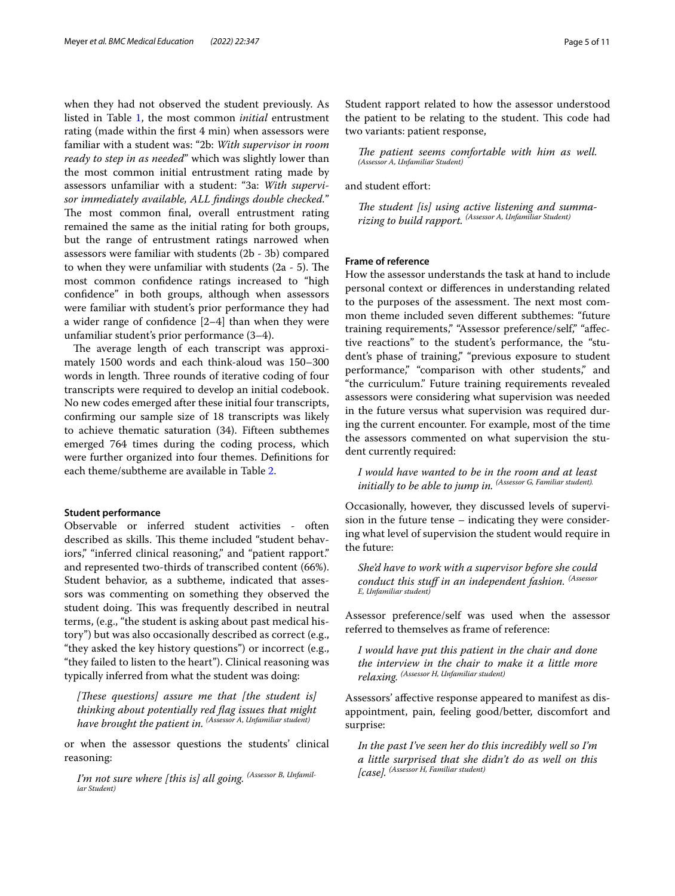when they had not observed the student previously. As listed in Table [1,](#page-3-0) the most common *initial* entrustment rating (made within the frst 4 min) when assessors were familiar with a student was: "2b: *With supervisor in room ready to step in as needed*" which was slightly lower than the most common initial entrustment rating made by assessors unfamiliar with a student: "3a: *With supervisor immediately available, ALL fndings double checked.*" The most common final, overall entrustment rating remained the same as the initial rating for both groups, but the range of entrustment ratings narrowed when assessors were familiar with students (2b - 3b) compared to when they were unfamiliar with students  $(2a - 5)$ . The most common confdence ratings increased to "high confdence" in both groups, although when assessors were familiar with student's prior performance they had a wider range of confdence [2–4] than when they were unfamiliar student's prior performance (3–4).

The average length of each transcript was approximately 1500 words and each think-aloud was 150–300 words in length. Three rounds of iterative coding of four transcripts were required to develop an initial codebook. No new codes emerged after these initial four transcripts, confrming our sample size of 18 transcripts was likely to achieve thematic saturation (34). Fifteen subthemes emerged 764 times during the coding process, which were further organized into four themes. Defnitions for each theme/subtheme are available in Table [2.](#page-5-0)

# **Student performance**

Observable or inferred student activities - often described as skills. This theme included "student behaviors," "inferred clinical reasoning," and "patient rapport." and represented two-thirds of transcribed content (66%). Student behavior, as a subtheme, indicated that assessors was commenting on something they observed the student doing. This was frequently described in neutral terms, (e.g., "the student is asking about past medical history") but was also occasionally described as correct (e.g., "they asked the key history questions") or incorrect (e.g., "they failed to listen to the heart"). Clinical reasoning was typically inferred from what the student was doing:

[These questions] assure me that [the student is] *thinking about potentially red fag issues that might have brought the patient in. (Assessor A, Unfamiliar student)*

or when the assessor questions the students' clinical reasoning:

*I'm not sure where [this is] all going. (Assessor B, Unfamiliar Student)*

Student rapport related to how the assessor understood the patient to be relating to the student. This code had two variants: patient response,

The patient seems comfortable with him as well. *(Assessor A, Unfamiliar Student)*

and student effort:

The student [is] using active listening and summa*rizing to build rapport. (Assessor A, Unfamiliar Student)*

# **Frame of reference**

How the assessor understands the task at hand to include personal context or diferences in understanding related to the purposes of the assessment. The next most common theme included seven diferent subthemes: "future training requirements," "Assessor preference/self," "afective reactions" to the student's performance, the "student's phase of training," "previous exposure to student performance," "comparison with other students," and "the curriculum." Future training requirements revealed assessors were considering what supervision was needed in the future versus what supervision was required during the current encounter. For example, most of the time the assessors commented on what supervision the student currently required:

*I would have wanted to be in the room and at least initially to be able to jump in. (Assessor G, Familiar student).*

Occasionally, however, they discussed levels of supervision in the future tense – indicating they were considering what level of supervision the student would require in the future:

*She'd have to work with a supervisor before she could conduct this stuf in an independent fashion. (Assessor E, Unfamiliar student)*

Assessor preference/self was used when the assessor referred to themselves as frame of reference:

*I would have put this patient in the chair and done the interview in the chair to make it a little more relaxing. (Assessor H, Unfamiliar student)*

Assessors' afective response appeared to manifest as disappointment, pain, feeling good/better, discomfort and surprise:

*In the past I've seen her do this incredibly well so I'm a little surprised that she didn't do as well on this [case]. (Assessor H, Familiar student)*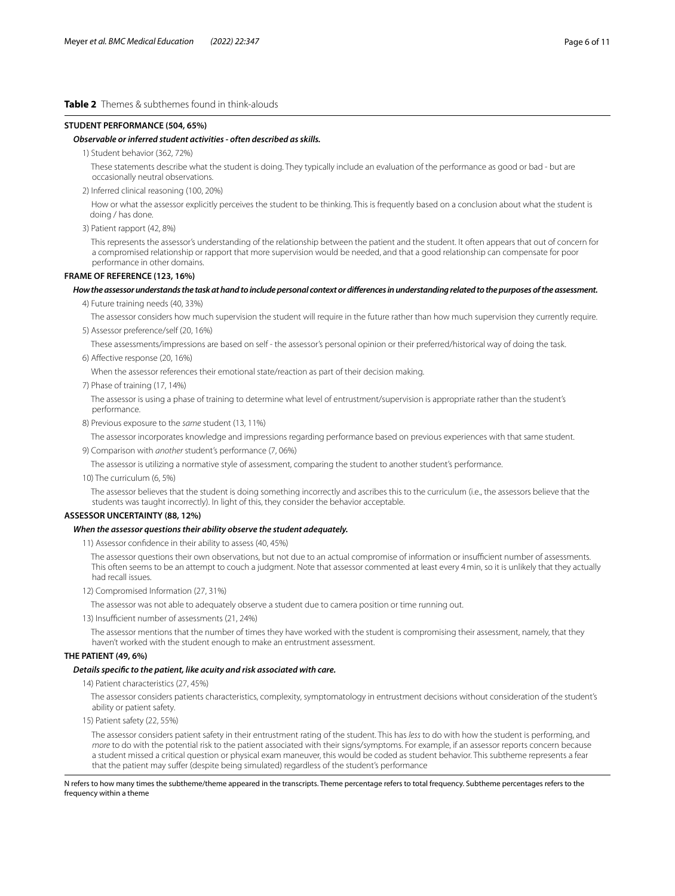# <span id="page-5-0"></span>**Table 2** Themes & subthemes found in think-alouds

## **STUDENT PERFORMANCE (504, 65%)**

#### *Observable or inferred student activities - often described as skills.*

1) Student behavior (362, 72%)

 These statements describe what the student is doing. They typically include an evaluation of the performance as good or bad - but are occasionally neutral observations.

2) Inferred clinical reasoning (100, 20%)

 How or what the assessor explicitly perceives the student to be thinking. This is frequently based on a conclusion about what the student is doing / has done.

3) Patient rapport (42, 8%)

 This represents the assessor's understanding of the relationship between the patient and the student. It often appears that out of concern for a compromised relationship or rapport that more supervision would be needed, and that a good relationship can compensate for poor performance in other domains.

# **FRAME OF REFERENCE (123, 16%)**

#### *How the assessor understands the task at hand to include personal context or diferences in understanding related to the purposes of the assessment.*

4) Future training needs (40, 33%)

The assessor considers how much supervision the student will require in the future rather than how much supervision they currently require.

5) Assessor preference/self (20, 16%)

These assessments/impressions are based on self - the assessor's personal opinion or their preferred/historical way of doing the task.

6) Afective response (20, 16%)

When the assessor references their emotional state/reaction as part of their decision making.

7) Phase of training (17, 14%)

 The assessor is using a phase of training to determine what level of entrustment/supervision is appropriate rather than the student's performance.

8) Previous exposure to the *same* student (13, 11%)

The assessor incorporates knowledge and impressions regarding performance based on previous experiences with that same student.

9) Comparison with *another* student's performance (7, 06%)

The assessor is utilizing a normative style of assessment, comparing the student to another student's performance.

10) The curriculum (6, 5%)

 The assessor believes that the student is doing something incorrectly and ascribes this to the curriculum (i.e., the assessors believe that the students was taught incorrectly). In light of this, they consider the behavior acceptable.

# **ASSESSOR UNCERTAINTY (88, 12%)**

# *When the assessor questions their ability observe the student adequately.*

11) Assessor confdence in their ability to assess (40, 45%)

The assessor questions their own observations, but not due to an actual compromise of information or insufficient number of assessments. This often seems to be an attempt to couch a judgment. Note that assessor commented at least every 4min, so it is unlikely that they actually had recall issues.

12) Compromised Information (27, 31%)

The assessor was not able to adequately observe a student due to camera position or time running out.

13) Insufficient number of assessments (21, 24%)

 The assessor mentions that the number of times they have worked with the student is compromising their assessment, namely, that they haven't worked with the student enough to make an entrustment assessment.

# **THE PATIENT (49, 6%)**

# *Details specifc to the patient, like acuity and risk associated with care.*

14) Patient characteristics (27, 45%)

 The assessor considers patients characteristics, complexity, symptomatology in entrustment decisions without consideration of the student's ability or patient safety.

15) Patient safety (22, 55%)

 The assessor considers patient safety in their entrustment rating of the student. This has *less* to do with how the student is performing, and *more* to do with the potential risk to the patient associated with their signs/symptoms. For example, if an assessor reports concern because a student missed a critical question or physical exam maneuver, this would be coded as student behavior. This subtheme represents a fear that the patient may suffer (despite being simulated) regardless of the student's performance

#### N refers to how many times the subtheme/theme appeared in the transcripts. Theme percentage refers to total frequency. Subtheme percentages refers to the frequency within a theme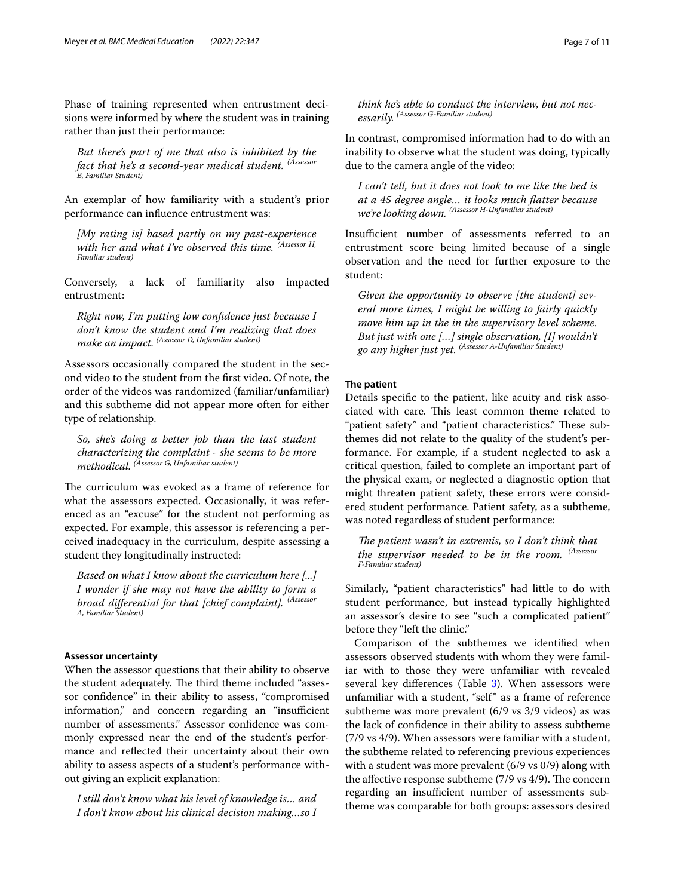Phase of training represented when entrustment decisions were informed by where the student was in training rather than just their performance:

*But there's part of me that also is inhibited by the fact that he's a second-year medical student. (Assessor B, Familiar Student)*

An exemplar of how familiarity with a student's prior performance can infuence entrustment was:

*[My rating is] based partly on my past-experience with her and what I've observed this time. (Assessor H, Familiar student)*

Conversely, a lack of familiarity also impacted entrustment:

*Right now, I'm putting low confdence just because I don't know the student and I'm realizing that does make an impact. (Assessor D, Unfamiliar student)*

Assessors occasionally compared the student in the second video to the student from the frst video. Of note, the order of the videos was randomized (familiar/unfamiliar) and this subtheme did not appear more often for either type of relationship.

*So, she's doing a better job than the last student characterizing the complaint - she seems to be more methodical. (Assessor G, Unfamiliar student)*

The curriculum was evoked as a frame of reference for what the assessors expected. Occasionally, it was referenced as an "excuse" for the student not performing as expected. For example, this assessor is referencing a perceived inadequacy in the curriculum, despite assessing a student they longitudinally instructed:

*Based on what I know about the curriculum here [...] I wonder if she may not have the ability to form a broad diferential for that [chief complaint]. (Assessor A, Familiar Student)*

# **Assessor uncertainty**

When the assessor questions that their ability to observe the student adequately. The third theme included "assessor confdence" in their ability to assess, "compromised information," and concern regarding an "insufficient number of assessments." Assessor confdence was commonly expressed near the end of the student's performance and refected their uncertainty about their own ability to assess aspects of a student's performance without giving an explicit explanation:

*I still don't know what his level of knowledge is… and I don't know about his clinical decision making…so I*  *think he's able to conduct the interview, but not necessarily. (Assessor G-Familiar student)*

In contrast, compromised information had to do with an inability to observe what the student was doing, typically due to the camera angle of the video:

*I can't tell, but it does not look to me like the bed is at a 45 degree angle… it looks much fatter because we're looking down. (Assessor H-Unfamiliar student)*

Insufficient number of assessments referred to an entrustment score being limited because of a single observation and the need for further exposure to the student:

*Given the opportunity to observe [the student] several more times, I might be willing to fairly quickly move him up in the in the supervisory level scheme. But just with one […] single observation, [I] wouldn't go any higher just yet. (Assessor A-Unfamiliar Student)*

# **The patient**

Details specifc to the patient, like acuity and risk associated with care. This least common theme related to "patient safety" and "patient characteristics." These subthemes did not relate to the quality of the student's performance. For example, if a student neglected to ask a critical question, failed to complete an important part of the physical exam, or neglected a diagnostic option that might threaten patient safety, these errors were considered student performance. Patient safety, as a subtheme, was noted regardless of student performance:

*The patient wasn't in extremis, so I don't think that the supervisor needed to be in the room. (Assessor F-Familiar student)*

Similarly, "patient characteristics" had little to do with student performance, but instead typically highlighted an assessor's desire to see "such a complicated patient" before they "left the clinic."

Comparison of the subthemes we identifed when assessors observed students with whom they were familiar with to those they were unfamiliar with revealed several key differences (Table [3\)](#page-7-0). When assessors were unfamiliar with a student, "self" as a frame of reference subtheme was more prevalent (6/9 vs 3/9 videos) as was the lack of confdence in their ability to assess subtheme (7/9 vs 4/9). When assessors were familiar with a student, the subtheme related to referencing previous experiences with a student was more prevalent (6/9 vs 0/9) along with the affective response subtheme  $(7/9 \text{ vs } 4/9)$ . The concern regarding an insufficient number of assessments subtheme was comparable for both groups: assessors desired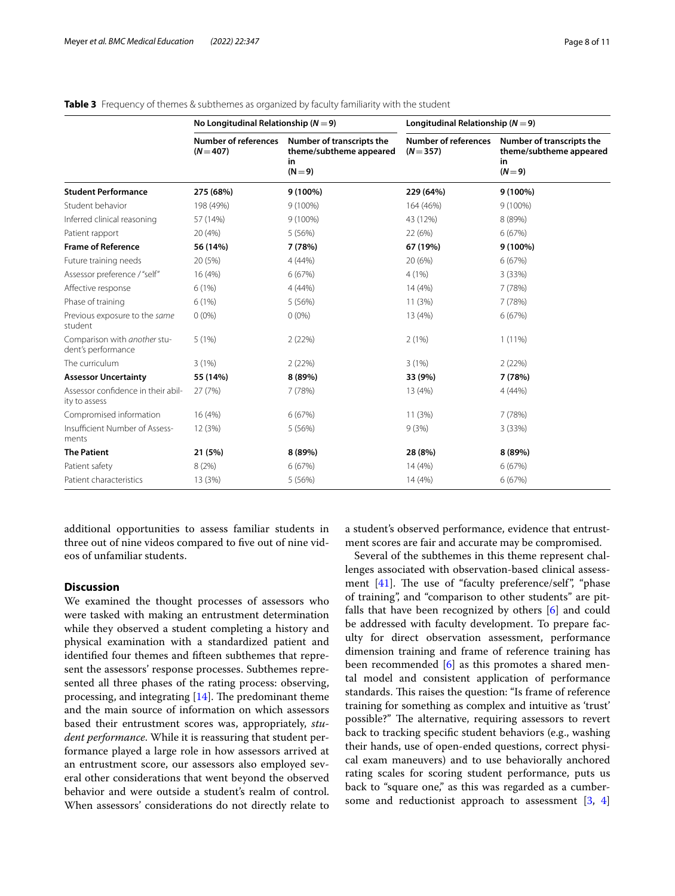|                                                     | No Longitudinal Relationship ( $N = 9$ )   |                                                                       | Longitudinal Relationship ( $N = 9$ )      |                                                                       |  |  |
|-----------------------------------------------------|--------------------------------------------|-----------------------------------------------------------------------|--------------------------------------------|-----------------------------------------------------------------------|--|--|
|                                                     | <b>Number of references</b><br>$(N = 407)$ | Number of transcripts the<br>theme/subtheme appeared<br>in<br>$(N=9)$ | <b>Number of references</b><br>$(N = 357)$ | Number of transcripts the<br>theme/subtheme appeared<br>in<br>$(N=9)$ |  |  |
| <b>Student Performance</b>                          | 275 (68%)                                  | 9 (100%)                                                              | 229 (64%)                                  | 9 (100%)                                                              |  |  |
| Student behavior                                    | 198 (49%)                                  | $9(100\%)$                                                            | 164 (46%)                                  | $9(100\%)$                                                            |  |  |
| Inferred clinical reasoning                         | 57 (14%)                                   | $9(100\%)$                                                            | 43 (12%)                                   | 8 (89%)                                                               |  |  |
| Patient rapport                                     | 20 (4%)                                    | 5(56%)                                                                | 22 (6%)                                    | 6(67%)                                                                |  |  |
| <b>Frame of Reference</b>                           | 56 (14%)                                   | 7 (78%)                                                               | 67 (19%)                                   | 9 (100%)                                                              |  |  |
| Future training needs                               | 20 (5%)                                    | 4(44%)                                                                | 20 (6%)                                    | 6(67%)                                                                |  |  |
| Assessor preference / "self"                        | 16 (4%)                                    | 6(67%)                                                                | 4(1%)                                      | 3(33%)                                                                |  |  |
| Affective response                                  | 6(1%)                                      | 4(44%)                                                                | 14 (4%)                                    | 7 (78%)                                                               |  |  |
| Phase of training                                   | 6(1%)                                      | 5 (56%)                                                               | 11 (3%)                                    | 7 (78%)                                                               |  |  |
| Previous exposure to the same<br>student            | $0(0\%)$                                   | $0(0\%)$                                                              | 13 (4%)                                    | 6(67%)                                                                |  |  |
| Comparison with another stu-<br>dent's performance  | 5(1%)                                      | 2(22%)                                                                | 2(1%)                                      | $1(11\%)$                                                             |  |  |
| The curriculum                                      | 3(1%)                                      | 2(22%)                                                                | 3(1%)                                      | 2(22%)                                                                |  |  |
| <b>Assessor Uncertainty</b>                         | 55 (14%)                                   | 8 (89%)                                                               | 33 (9%)                                    | 7(78%)                                                                |  |  |
| Assessor confidence in their abil-<br>ity to assess | 27 (7%)                                    | 7(78%)                                                                | 13 (4%)                                    | 4(44%)                                                                |  |  |
| Compromised information                             | 16 (4%)                                    | 6(67%)                                                                | 11 (3%)                                    | 7(78%)                                                                |  |  |
| Insufficient Number of Assess-<br>ments             | 12 (3%)                                    | 5(56%)                                                                | 9(3%)                                      | 3(33%)                                                                |  |  |
| <b>The Patient</b>                                  | 21 (5%)                                    | 8 (89%)                                                               | 28 (8%)                                    | 8 (89%)                                                               |  |  |
| Patient safety                                      | 8(2%)                                      | 6(67%)                                                                | 14 (4%)                                    | 6(67%)                                                                |  |  |
| Patient characteristics                             | 13 (3%)                                    | 5(56%)                                                                | 14 (4%)                                    | 6(67%)                                                                |  |  |

<span id="page-7-0"></span>

|  |  |  | Table 3 Frequency of themes & subthemes as organized by faculty familiarity with the student |  |  |  |  |  |  |
|--|--|--|----------------------------------------------------------------------------------------------|--|--|--|--|--|--|
|--|--|--|----------------------------------------------------------------------------------------------|--|--|--|--|--|--|

additional opportunities to assess familiar students in three out of nine videos compared to five out of nine videos of unfamiliar students.

# **Discussion**

We examined the thought processes of assessors who were tasked with making an entrustment determination while they observed a student completing a history and physical examination with a standardized patient and identifed four themes and ffteen subthemes that represent the assessors' response processes. Subthemes represented all three phases of the rating process: observing, processing, and integrating  $[14]$  $[14]$ . The predominant theme and the main source of information on which assessors based their entrustment scores was, appropriately, *student performance*. While it is reassuring that student performance played a large role in how assessors arrived at an entrustment score, our assessors also employed several other considerations that went beyond the observed behavior and were outside a student's realm of control. When assessors' considerations do not directly relate to

a student's observed performance, evidence that entrustment scores are fair and accurate may be compromised.

Several of the subthemes in this theme represent challenges associated with observation-based clinical assessment  $[41]$  $[41]$ . The use of "faculty preference/self", "phase of training", and "comparison to other students" are pitfalls that have been recognized by others [\[6](#page-9-5)] and could be addressed with faculty development. To prepare faculty for direct observation assessment, performance dimension training and frame of reference training has been recommended [[6\]](#page-9-5) as this promotes a shared mental model and consistent application of performance standards. This raises the question: "Is frame of reference training for something as complex and intuitive as 'trust' possible?" The alternative, requiring assessors to revert back to tracking specifc student behaviors (e.g., washing their hands, use of open-ended questions, correct physical exam maneuvers) and to use behaviorally anchored rating scales for scoring student performance, puts us back to "square one," as this was regarded as a cumber-some and reductionist approach to assessment [\[3,](#page-9-2) [4](#page-9-3)]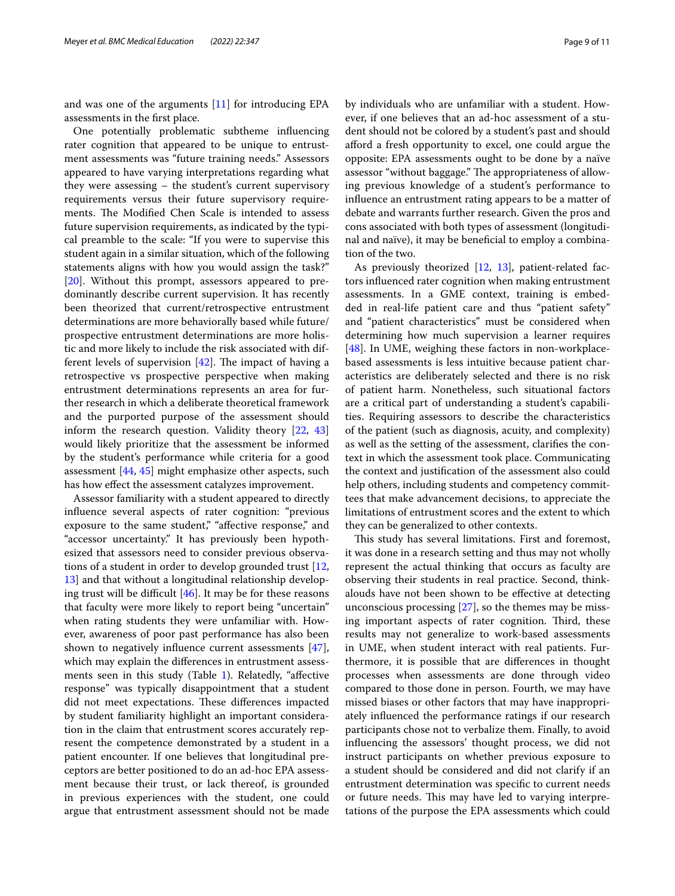and was one of the arguments [\[11\]](#page-9-10) for introducing EPA assessments in the frst place.

One potentially problematic subtheme infuencing rater cognition that appeared to be unique to entrustment assessments was "future training needs." Assessors appeared to have varying interpretations regarding what they were assessing – the student's current supervisory requirements versus their future supervisory requirements. The Modified Chen Scale is intended to assess future supervision requirements, as indicated by the typical preamble to the scale: "If you were to supervise this student again in a similar situation, which of the following statements aligns with how you would assign the task?" [[20\]](#page-10-6). Without this prompt, assessors appeared to predominantly describe current supervision. It has recently been theorized that current/retrospective entrustment determinations are more behaviorally based while future/ prospective entrustment determinations are more holistic and more likely to include the risk associated with different levels of supervision  $[42]$  $[42]$ . The impact of having a retrospective vs prospective perspective when making entrustment determinations represents an area for further research in which a deliberate theoretical framework and the purported purpose of the assessment should inform the research question. Validity theory [[22](#page-10-8), [43](#page-10-29)] would likely prioritize that the assessment be informed by the student's performance while criteria for a good assessment [\[44](#page-10-30), [45\]](#page-10-31) might emphasize other aspects, such has how efect the assessment catalyzes improvement.

Assessor familiarity with a student appeared to directly infuence several aspects of rater cognition: "previous exposure to the same student," "affective response," and "accessor uncertainty." It has previously been hypothesized that assessors need to consider previous observations of a student in order to develop grounded trust [\[12](#page-9-11), [13\]](#page-9-12) and that without a longitudinal relationship developing trust will be difficult  $[46]$  $[46]$ . It may be for these reasons that faculty were more likely to report being "uncertain" when rating students they were unfamiliar with. However, awareness of poor past performance has also been shown to negatively infuence current assessments [\[47](#page-10-33)], which may explain the diferences in entrustment assess-ments seen in this study (Table [1](#page-3-0)). Relatedly, "affective response" was typically disappointment that a student did not meet expectations. These differences impacted by student familiarity highlight an important consideration in the claim that entrustment scores accurately represent the competence demonstrated by a student in a patient encounter. If one believes that longitudinal preceptors are better positioned to do an ad-hoc EPA assessment because their trust, or lack thereof, is grounded in previous experiences with the student, one could argue that entrustment assessment should not be made by individuals who are unfamiliar with a student. However, if one believes that an ad-hoc assessment of a student should not be colored by a student's past and should aford a fresh opportunity to excel, one could argue the opposite: EPA assessments ought to be done by a naïve assessor "without baggage." The appropriateness of allowing previous knowledge of a student's performance to infuence an entrustment rating appears to be a matter of debate and warrants further research. Given the pros and cons associated with both types of assessment (longitudinal and naïve), it may be benefcial to employ a combination of the two.

As previously theorized [[12,](#page-9-11) [13\]](#page-9-12), patient-related factors infuenced rater cognition when making entrustment assessments. In a GME context, training is embedded in real-life patient care and thus "patient safety" and "patient characteristics" must be considered when determining how much supervision a learner requires [[48\]](#page-10-34). In UME, weighing these factors in non-workplacebased assessments is less intuitive because patient characteristics are deliberately selected and there is no risk of patient harm. Nonetheless, such situational factors are a critical part of understanding a student's capabilities. Requiring assessors to describe the characteristics of the patient (such as diagnosis, acuity, and complexity) as well as the setting of the assessment, clarifes the context in which the assessment took place. Communicating the context and justifcation of the assessment also could help others, including students and competency committees that make advancement decisions, to appreciate the limitations of entrustment scores and the extent to which they can be generalized to other contexts.

This study has several limitations. First and foremost, it was done in a research setting and thus may not wholly represent the actual thinking that occurs as faculty are observing their students in real practice. Second, thinkalouds have not been shown to be efective at detecting unconscious processing  $[27]$  $[27]$  $[27]$ , so the themes may be missing important aspects of rater cognition. Third, these results may not generalize to work-based assessments in UME, when student interact with real patients. Furthermore, it is possible that are diferences in thought processes when assessments are done through video compared to those done in person. Fourth, we may have missed biases or other factors that may have inappropriately infuenced the performance ratings if our research participants chose not to verbalize them. Finally, to avoid infuencing the assessors' thought process, we did not instruct participants on whether previous exposure to a student should be considered and did not clarify if an entrustment determination was specifc to current needs or future needs. This may have led to varying interpretations of the purpose the EPA assessments which could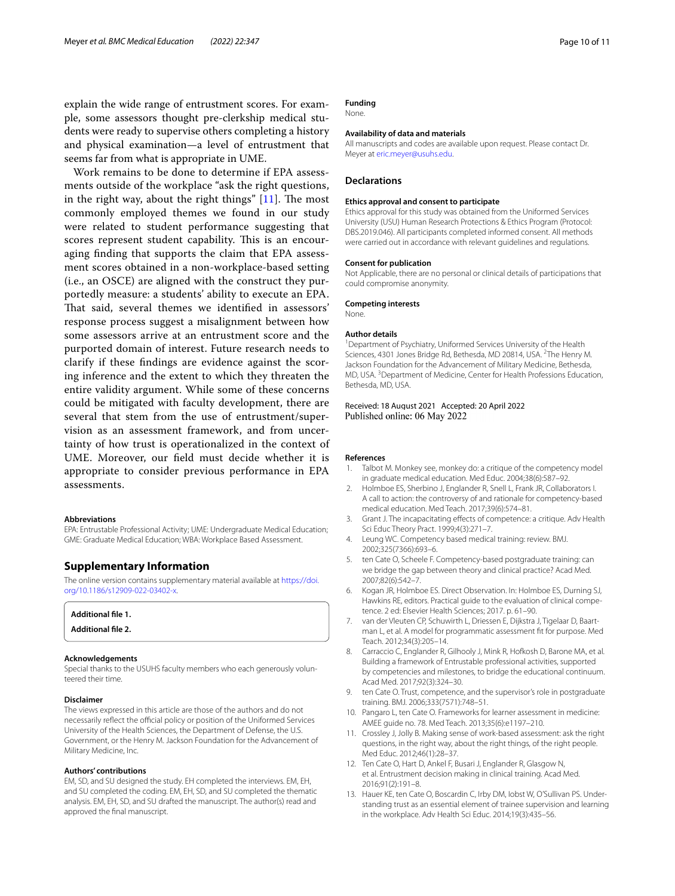explain the wide range of entrustment scores. For example, some assessors thought pre-clerkship medical students were ready to supervise others completing a history and physical examination—a level of entrustment that seems far from what is appropriate in UME.

Work remains to be done to determine if EPA assessments outside of the workplace "ask the right questions, in the right way, about the right things"  $[11]$  $[11]$ . The most commonly employed themes we found in our study were related to student performance suggesting that scores represent student capability. This is an encouraging fnding that supports the claim that EPA assessment scores obtained in a non-workplace-based setting (i.e., an OSCE) are aligned with the construct they purportedly measure: a students' ability to execute an EPA. That said, several themes we identified in assessors' response process suggest a misalignment between how some assessors arrive at an entrustment score and the purported domain of interest. Future research needs to clarify if these fndings are evidence against the scoring inference and the extent to which they threaten the entire validity argument. While some of these concerns could be mitigated with faculty development, there are several that stem from the use of entrustment/supervision as an assessment framework, and from uncertainty of how trust is operationalized in the context of UME. Moreover, our feld must decide whether it is appropriate to consider previous performance in EPA assessments.

#### **Abbreviations**

EPA: Entrustable Professional Activity; UME: Undergraduate Medical Education; GME: Graduate Medical Education; WBA: Workplace Based Assessment.

# **Supplementary Information**

The online version contains supplementary material available at [https://doi.](https://doi.org/10.1186/s12909-022-03402-x) [org/10.1186/s12909-022-03402-x.](https://doi.org/10.1186/s12909-022-03402-x)

<span id="page-9-14"></span><span id="page-9-13"></span>

| Additional file 1.        |  |
|---------------------------|--|
| <b>Additional file 2.</b> |  |

#### **Acknowledgements**

Special thanks to the USUHS faculty members who each generously volunteered their time.

## **Disclaimer**

The views expressed in this article are those of the authors and do not necessarily reflect the official policy or position of the Uniformed Services University of the Health Sciences, the Department of Defense, the U.S. Government, or the Henry M. Jackson Foundation for the Advancement of Military Medicine, Inc.

# **Authors' contributions**

EM, SD, and SU designed the study. EH completed the interviews. EM, EH, and SU completed the coding. EM, EH, SD, and SU completed the thematic analysis. EM, EH, SD, and SU drafted the manuscript. The author(s) read and approved the fnal manuscript.

#### **Funding** None.

# **Availability of data and materials**

All manuscripts and codes are available upon request. Please contact Dr. Meyer at<eric.meyer@usuhs.edu>.

# **Declarations**

#### **Ethics approval and consent to participate**

Ethics approval for this study was obtained from the Uniformed Services University (USU) Human Research Protections & Ethics Program (Protocol: DBS.2019.046). All participants completed informed consent. All methods were carried out in accordance with relevant guidelines and regulations.

#### **Consent for publication**

Not Applicable, there are no personal or clinical details of participations that could compromise anonymity.

#### **Competing interests**

None.

#### **Author details**

<sup>1</sup> Department of Psychiatry, Uniformed Services University of the Health Sciences, 4301 Jones Bridge Rd, Bethesda, MD 20814, USA. <sup>2</sup>The Henry M. Jackson Foundation for the Advancement of Military Medicine, Bethesda, MD, USA. 3 Department of Medicine, Center for Health Professions Education, Bethesda, MD, USA.

# Received: 18 August 2021 Accepted: 20 April 2022 Published online: 06 May 2022

#### **References**

- <span id="page-9-0"></span>1. Talbot M. Monkey see, monkey do: a critique of the competency model in graduate medical education. Med Educ. 2004;38(6):587–92.
- <span id="page-9-1"></span>2. Holmboe ES, Sherbino J, Englander R, Snell L, Frank JR, Collaborators I. A call to action: the controversy of and rationale for competency-based medical education. Med Teach. 2017;39(6):574–81.
- <span id="page-9-2"></span>3. Grant J. The incapacitating efects of competence: a critique. Adv Health Sci Educ Theory Pract. 1999;4(3):271–7.
- <span id="page-9-3"></span>4. Leung WC. Competency based medical training: review. BMJ. 2002;325(7366):693–6.
- <span id="page-9-4"></span>5. ten Cate O, Scheele F. Competency-based postgraduate training: can we bridge the gap between theory and clinical practice? Acad Med. 2007;82(6):542–7.
- <span id="page-9-5"></span>6. Kogan JR, Holmboe ES. Direct Observation. In: Holmboe ES, Durning SJ, Hawkins RE, editors. Practical guide to the evaluation of clinical competence. 2 ed: Elsevier Health Sciences; 2017. p. 61–90.
- <span id="page-9-6"></span>7. van der Vleuten CP, Schuwirth L, Driessen E, Dijkstra J, Tigelaar D, Baartman L, et al. A model for programmatic assessment ft for purpose. Med Teach. 2012;34(3):205–14.
- <span id="page-9-7"></span>8. Carraccio C, Englander R, Gilhooly J, Mink R, Hofkosh D, Barone MA, et al. Building a framework of Entrustable professional activities, supported by competencies and milestones, to bridge the educational continuum. Acad Med. 2017;92(3):324–30.
- <span id="page-9-8"></span>9. ten Cate O. Trust, competence, and the supervisor's role in postgraduate training. BMJ. 2006;333(7571):748–51.
- <span id="page-9-9"></span>10. Pangaro L, ten Cate O. Frameworks for learner assessment in medicine: AMEE guide no. 78. Med Teach. 2013;35(6):e1197–210.
- <span id="page-9-10"></span>11. Crossley J, Jolly B. Making sense of work-based assessment: ask the right questions, in the right way, about the right things, of the right people. Med Educ. 2012;46(1):28–37.
- <span id="page-9-11"></span>12. Ten Cate O, Hart D, Ankel F, Busari J, Englander R, Glasgow N, et al. Entrustment decision making in clinical training. Acad Med. 2016;91(2):191–8.
- <span id="page-9-12"></span>13. Hauer KE, ten Cate O, Boscardin C, Irby DM, Iobst W, O'Sullivan PS. Understanding trust as an essential element of trainee supervision and learning in the workplace. Adv Health Sci Educ. 2014;19(3):435–56.